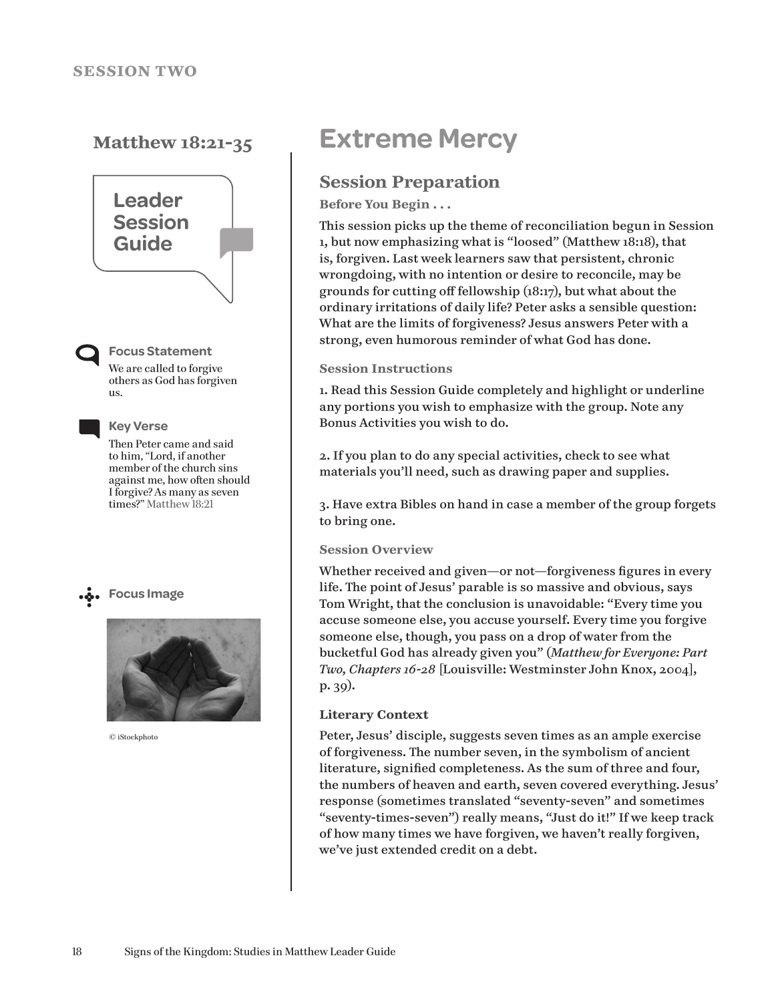

**Focus Statement** We are called to forgive others as God has forgiven us.

**Key Verse**

Then Peter came and said to him, "Lord, if another member of the church sins against me, how often should I forgive? As many as seven times?" Matthew 18:21





© iStockphoto

# **Matthew 18:21-35 Extreme Mercy**

# **Session Preparation**

**Before You Begin . . .** 

This session picks up the theme of reconciliation begun in Session 1, but now emphasizing what is "loosed" (Matthew 18:18), that is, forgiven. Last week learners saw that persistent, chronic wrongdoing, with no intention or desire to reconcile, may be grounds for cutting off fellowship (18:17), but what about the ordinary irritations of daily life? Peter asks a sensible question: What are the limits of forgiveness? Jesus answers Peter with a strong, even humorous reminder of what God has done.

### **Session Instructions**

1. Read this Session Guide completely and highlight or underline any portions you wish to emphasize with the group. Note any Bonus Activities you wish to do.

2. If you plan to do any special activities, check to see what materials you'll need, such as drawing paper and supplies.

3. Have extra Bibles on hand in case a member of the group forgets to bring one.

### **Session Overview**

Whether received and given—or not—forgiveness figures in every life. The point of Jesus' parable is so massive and obvious, says Tom Wright, that the conclusion is unavoidable: "Every time you accuse someone else, you accuse yourself. Every time you forgive someone else, though, you pass on a drop of water from the bucketful God has already given you" (*Matthew for Everyone: Part Two, Chapters 16-28* [Louisville: Westminster John Knox, 2004], p. 39).

### **Literary Context**

Peter, Jesus' disciple, suggests seven times as an ample exercise of forgiveness. The number seven, in the symbolism of ancient literature, signified completeness. As the sum of three and four, the numbers of heaven and earth, seven covered everything. Jesus' response (sometimes translated "seventy-seven" and sometimes "seventy-times-seven") really means, "Just do it!" If we keep track of how many times we have forgiven, we haven't really forgiven, we've just extended credit on a debt.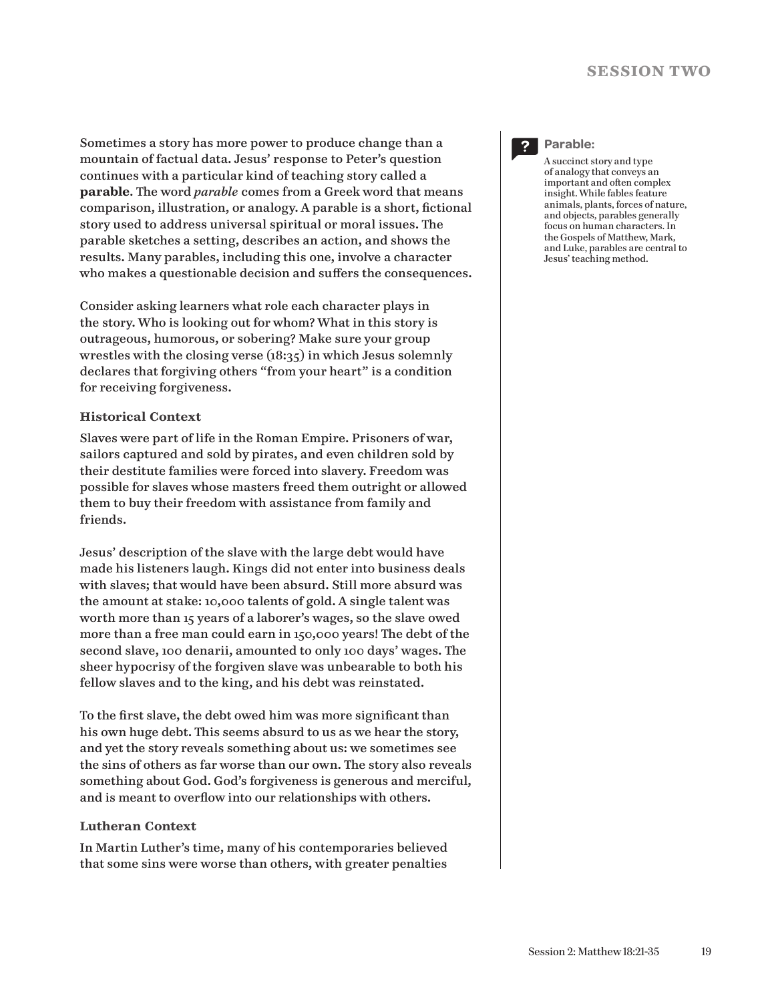Sometimes a story has more power to produce change than a mountain of factual data. Jesus' response to Peter's question continues with a particular kind of teaching story called a **parable**. The word *parable* comes from a Greek word that means comparison, illustration, or analogy. A parable is a short, fictional story used to address universal spiritual or moral issues. The parable sketches a setting, describes an action, and shows the results. Many parables, including this one, involve a character who makes a questionable decision and suffers the consequences.

Consider asking learners what role each character plays in the story. Who is looking out for whom? What in this story is outrageous, humorous, or sobering? Make sure your group wrestles with the closing verse (18:35) in which Jesus solemnly declares that forgiving others "from your heart" is a condition for receiving forgiveness.

#### **Historical Context**

Slaves were part of life in the Roman Empire. Prisoners of war, sailors captured and sold by pirates, and even children sold by their destitute families were forced into slavery. Freedom was possible for slaves whose masters freed them outright or allowed them to buy their freedom with assistance from family and friends.

Jesus' description of the slave with the large debt would have made his listeners laugh. Kings did not enter into business deals with slaves; that would have been absurd. Still more absurd was the amount at stake: 10,000 talents of gold. A single talent was worth more than 15 years of a laborer's wages, so the slave owed more than a free man could earn in 150,000 years! The debt of the second slave, 100 denarii, amounted to only 100 days' wages. The sheer hypocrisy of the forgiven slave was unbearable to both his fellow slaves and to the king, and his debt was reinstated.

To the first slave, the debt owed him was more significant than his own huge debt. This seems absurd to us as we hear the story, and yet the story reveals something about us: we sometimes see the sins of others as far worse than our own. The story also reveals something about God. God's forgiveness is generous and merciful, and is meant to overflow into our relationships with others.

#### **Lutheran Context**

In Martin Luther's time, many of his contemporaries believed that some sins were worse than others, with greater penalties



#### **Parable:**

A succinct story and type of analogy that conveys an important and often complex insight. While fables feature animals, plants, forces of nature, and objects, parables generally focus on human characters. In the Gospels of Matthew, Mark, and Luke, parables are central to Jesus' teaching method.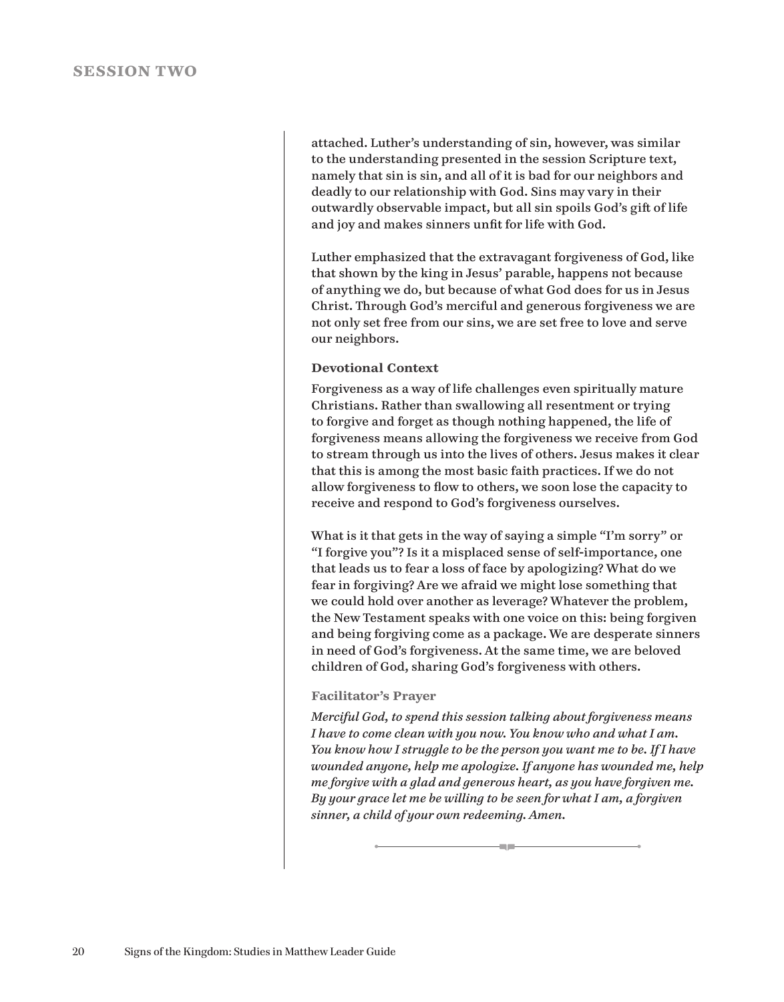attached. Luther's understanding of sin, however, was similar to the understanding presented in the session Scripture text, namely that sin is sin, and all of it is bad for our neighbors and deadly to our relationship with God. Sins may vary in their outwardly observable impact, but all sin spoils God's gift of life and joy and makes sinners unfit for life with God.

Luther emphasized that the extravagant forgiveness of God, like that shown by the king in Jesus' parable, happens not because of anything we do, but because of what God does for us in Jesus Christ. Through God's merciful and generous forgiveness we are not only set free from our sins, we are set free to love and serve our neighbors.

### **Devotional Context**

Forgiveness as a way of life challenges even spiritually mature Christians. Rather than swallowing all resentment or trying to forgive and forget as though nothing happened, the life of forgiveness means allowing the forgiveness we receive from God to stream through us into the lives of others. Jesus makes it clear that this is among the most basic faith practices. If we do not allow forgiveness to flow to others, we soon lose the capacity to receive and respond to God's forgiveness ourselves.

What is it that gets in the way of saying a simple "I'm sorry" or "I forgive you"? Is it a misplaced sense of self-importance, one that leads us to fear a loss of face by apologizing? What do we fear in forgiving? Are we afraid we might lose something that we could hold over another as leverage? Whatever the problem, the New Testament speaks with one voice on this: being forgiven and being forgiving come as a package. We are desperate sinners in need of God's forgiveness. At the same time, we are beloved children of God, sharing God's forgiveness with others.

### **Facilitator's Prayer**

*Merciful God, to spend this session talking about forgiveness means I have to come clean with you now. You know who and what I am. You know how I struggle to be the person you want me to be. If I have wounded anyone, help me apologize. If anyone has wounded me, help me forgive with a glad and generous heart, as you have forgiven me. By your grace let me be willing to be seen for what I am, a forgiven sinner, a child of your own redeeming. Amen.*

an m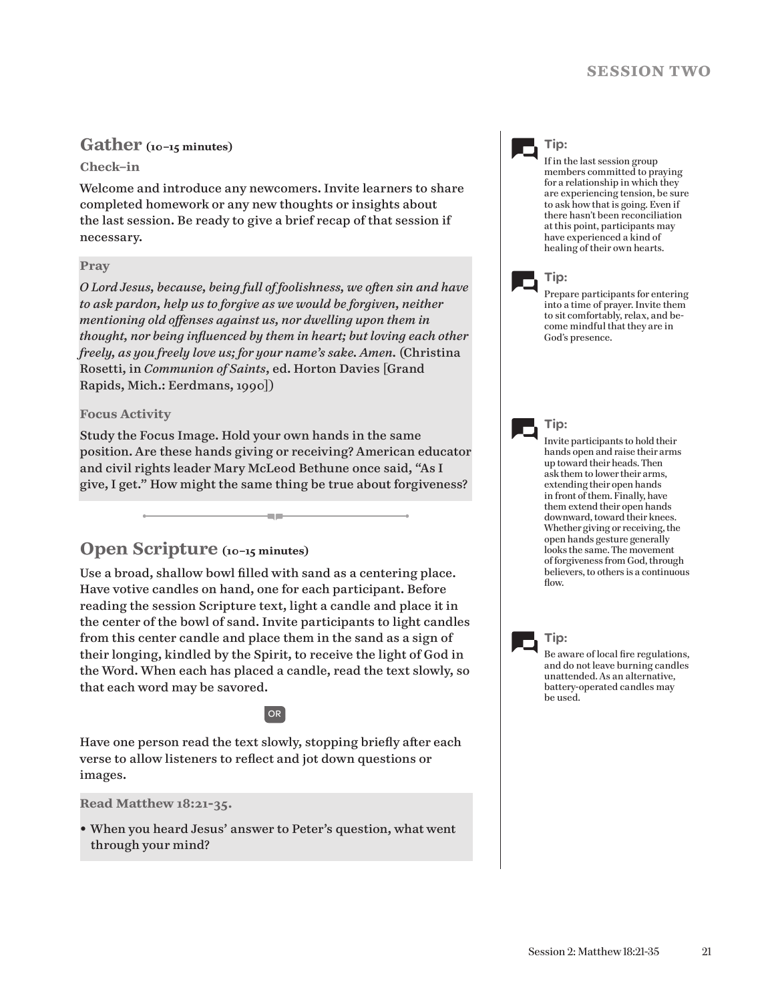# **Gather (10–15 minutes)**

### **Check–in**

Welcome and introduce any newcomers. Invite learners to share completed homework or any new thoughts or insights about the last session. Be ready to give a brief recap of that session if necessary.

### **Pray**

*O Lord Jesus, because, being full of foolishness, we often sin and have to ask pardon, help us to forgive as we would be forgiven, neither mentioning old offenses against us, nor dwelling upon them in thought, nor being influenced by them in heart; but loving each other freely, as you freely love us; for your name's sake. Amen.* (Christina Rosetti, in *Communion of Saints*, ed. Horton Davies [Grand Rapids, Mich.: Eerdmans, 1990])

# **Focus Activity**

Study the Focus Image. Hold your own hands in the same position. Are these hands giving or receiving? American educator and civil rights leader Mary McLeod Bethune once said, "As I give, I get." How might the same thing be true about forgiveness?

# **Open Scripture (10–15 minutes)**

Use a broad, shallow bowl filled with sand as a centering place. Have votive candles on hand, one for each participant. Before reading the session Scripture text, light a candle and place it in the center of the bowl of sand. Invite participants to light candles from this center candle and place them in the sand as a sign of their longing, kindled by the Spirit, to receive the light of God in the Word. When each has placed a candle, read the text slowly, so that each word may be savored.

# OR

Have one person read the text slowly, stopping briefly after each verse to allow listeners to reflect and jot down questions or images.

**Read Matthew 18:21-35.**

• When you heard Jesus' answer to Peter's question, what went through your mind?

# **Tip:**

If in the last session group members committed to praying for a relationship in which they are experiencing tension, be sure to ask how that is going. Even if there hasn't been reconciliation at this point, participants may have experienced a kind of

healing of their own hearts.



# **Tip:**

Prepare participants for entering into a time of prayer. Invite them to sit comfortably, relax, and become mindful that they are in God's presence.



# **Tip:**

Invite participants to hold their hands open and raise their arms up toward their heads. Then ask them to lower their arms, extending their open hands in front of them. Finally, have them extend their open hands downward, toward their knees. Whether giving or receiving, the open hands gesture generally looks the same. The movement of forgiveness from God, through believers, to others is a continuous flow.



**Tip:**

Be aware of local fire regulations, and do not leave burning candles unattended. As an alternative, battery-operated candles may be used.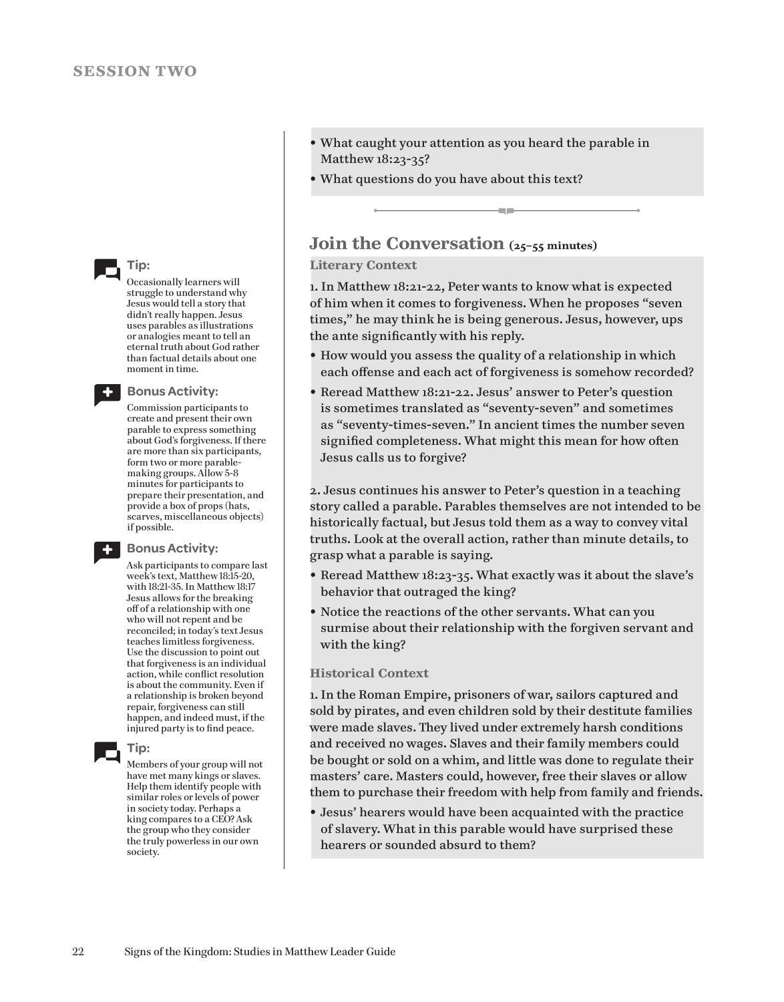

Occasionally learners will struggle to understand why Jesus would tell a story that didn't really happen. Jesus uses parables as illustrations or analogies meant to tell an eternal truth about God rather than factual details about one moment in time.



#### **Bonus Activity:**

Commission participants to create and present their own parable to express something about God's forgiveness. If there are more than six participants, form two or more parablemaking groups. Allow 5-8 minutes for participants to prepare their presentation, and provide a box of props (hats, scarves, miscellaneous objects) if possible.



#### **Bonus Activity:**

Ask participants to compare last week's text, Matthew 18:15-20, with 18:21-35. In Matthew 18:17 Jesus allows for the breaking off of a relationship with one who will not repent and be reconciled; in today's text Jesus teaches limitless forgiveness. Use the discussion to point out that forgiveness is an individual action, while conflict resolution is about the community. Even if a relationship is broken beyond repair, forgiveness can still happen, and indeed must, if the injured party is to find peace.



Members of your group will not have met many kings or slaves. Help them identify people with similar roles or levels of power in society today. Perhaps a king compares to a CEO? Ask the group who they consider the truly powerless in our own society.

- What caught your attention as you heard the parable in Matthew 18:23-35?
- What questions do you have about this text?

# **Join the Conversation (25–55 minutes)**

#### **Literary Context**

1. In Matthew 18:21-22, Peter wants to know what is expected of him when it comes to forgiveness. When he proposes "seven times," he may think he is being generous. Jesus, however, ups the ante significantly with his reply.

- How would you assess the quality of a relationship in which each offense and each act of forgiveness is somehow recorded?
- Reread Matthew 18:21-22. Jesus' answer to Peter's question is sometimes translated as "seventy-seven" and sometimes as "seventy-times-seven." In ancient times the number seven signified completeness. What might this mean for how often Jesus calls us to forgive?

2. Jesus continues his answer to Peter's question in a teaching story called a parable. Parables themselves are not intended to be historically factual, but Jesus told them as a way to convey vital truths. Look at the overall action, rather than minute details, to grasp what a parable is saying.

- Reread Matthew 18:23-35. What exactly was it about the slave's behavior that outraged the king?
- Notice the reactions of the other servants. What can you surmise about their relationship with the forgiven servant and with the king?

#### **Historical Context**

1. In the Roman Empire, prisoners of war, sailors captured and sold by pirates, and even children sold by their destitute families were made slaves. They lived under extremely harsh conditions and received no wages. Slaves and their family members could be bought or sold on a whim, and little was done to regulate their masters' care. Masters could, however, free their slaves or allow them to purchase their freedom with help from family and friends.

• Jesus' hearers would have been acquainted with the practice of slavery. What in this parable would have surprised these hearers or sounded absurd to them?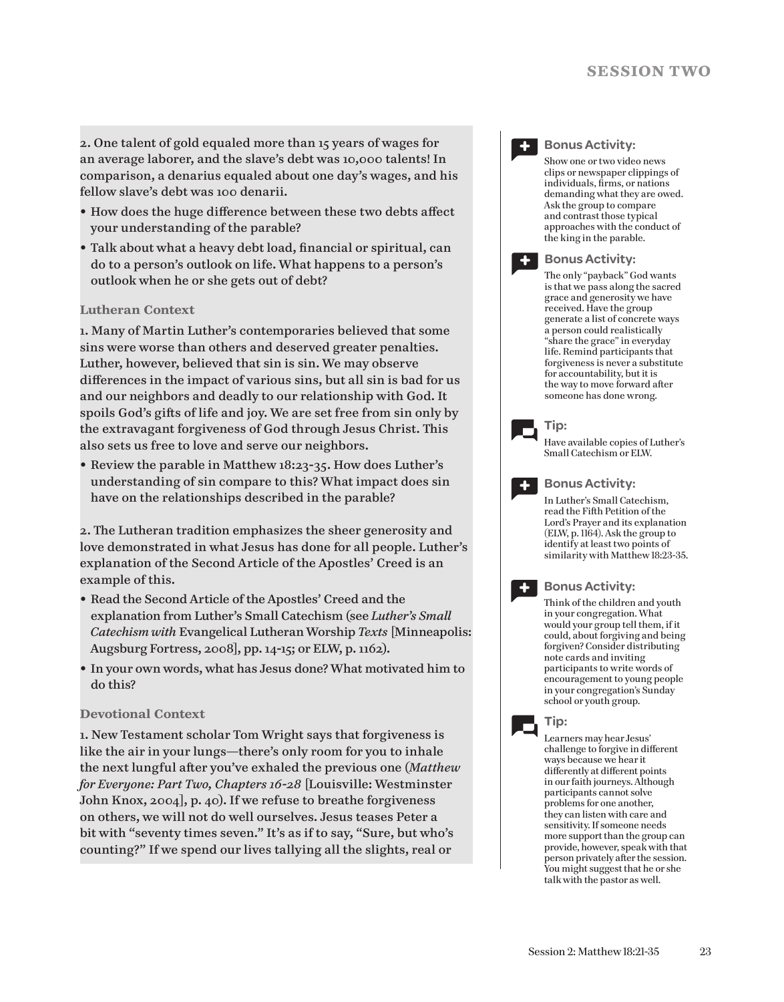2. One talent of gold equaled more than 15 years of wages for an average laborer, and the slave's debt was 10,000 talents! In comparison, a denarius equaled about one day's wages, and his fellow slave's debt was 100 denarii.

- How does the huge difference between these two debts affect your understanding of the parable?
- Talk about what a heavy debt load, financial or spiritual, can do to a person's outlook on life. What happens to a person's outlook when he or she gets out of debt?

### **Lutheran Context**

1. Many of Martin Luther's contemporaries believed that some sins were worse than others and deserved greater penalties. Luther, however, believed that sin is sin. We may observe differences in the impact of various sins, but all sin is bad for us and our neighbors and deadly to our relationship with God. It spoils God's gifts of life and joy. We are set free from sin only by the extravagant forgiveness of God through Jesus Christ. This also sets us free to love and serve our neighbors.

• Review the parable in Matthew 18:23-35. How does Luther's understanding of sin compare to this? What impact does sin have on the relationships described in the parable?

2. The Lutheran tradition emphasizes the sheer generosity and love demonstrated in what Jesus has done for all people. Luther's explanation of the Second Article of the Apostles' Creed is an example of this.

- Read the Second Article of the Apostles' Creed and the explanation from Luther's Small Catechism (see *Luther's Small Catechism with* Evangelical Lutheran Worship *Texts* [Minneapolis: Augsburg Fortress, 2008], pp. 14-15; or ELW, p. 1162).
- In your own words, what has Jesus done? What motivated him to do this?

# **Devotional Context**

1. New Testament scholar Tom Wright says that forgiveness is like the air in your lungs—there's only room for you to inhale the next lungful after you've exhaled the previous one (*Matthew for Everyone: Part Two, Chapters 16-28* [Louisville: Westminster John Knox, 2004], p. 40). If we refuse to breathe forgiveness on others, we will not do well ourselves. Jesus teases Peter a bit with "seventy times seven." It's as if to say, "Sure, but who's counting?" If we spend our lives tallying all the slights, real or



# **Bonus Activity:**

Show one or two video news clips or newspaper clippings of individuals, firms, or nations demanding what they are owed. Ask the group to compare and contrast those typical approaches with the conduct of the king in the parable.



#### **Bonus Activity:**

The only "payback" God wants is that we pass along the sacred grace and generosity we have received. Have the group generate a list of concrete ways a person could realistically "share the grace" in everyday life. Remind participants that forgiveness is never a substitute for accountability, but it is the way to move forward after someone has done wrong.

### **Tip:**

Have available copies of Luther's Small Catechism or ELW.



#### **Bonus Activity:**

In Luther's Small Catechism, read the Fifth Petition of the Lord's Prayer and its explanation (ELW, p. 1164). Ask the group to identify at least two points of similarity with Matthew 18:23-35.



#### **Bonus Activity:**

Think of the children and youth in your congregation. What would your group tell them, if it could, about forgiving and being forgiven? Consider distributing note cards and inviting participants to write words of encouragement to young people in your congregation's Sunday school or youth group.



Learners may hear Jesus' challenge to forgive in different ways because we hear it differently at different points in our faith journeys. Although participants cannot solve problems for one another, they can listen with care and sensitivity. If someone needs more support than the group can provide, however, speak with that person privately after the session. You might suggest that he or she talk with the pastor as well.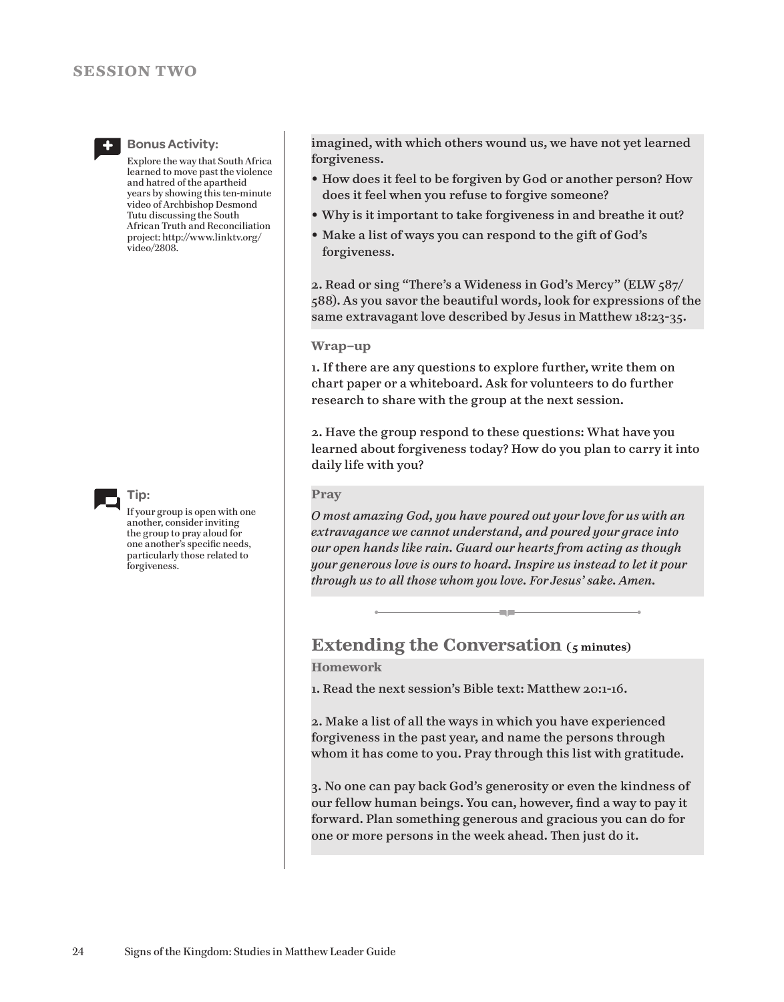# **session Two**



#### **Bonus Activity:**

Explore the way that South Africa learned to move past the violence and hatred of the apartheid years by showing this ten-minute video of Archbishop Desmond Tutu discussing the South African Truth and Reconciliation project: http://www.linktv.org/ video/2808.



If your group is open with one another, consider inviting the group to pray aloud for one another's specific needs, particularly those related to forgiveness.

imagined, with which others wound us, we have not yet learned forgiveness.

- How does it feel to be forgiven by God or another person? How does it feel when you refuse to forgive someone?
- Why is it important to take forgiveness in and breathe it out?
- Make a list of ways you can respond to the gift of God's forgiveness.

2. Read or sing "There's a Wideness in God's Mercy" (ELW 587/ 588). As you savor the beautiful words, look for expressions of the same extravagant love described by Jesus in Matthew 18:23-35.

#### **Wrap–up**

1. If there are any questions to explore further, write them on chart paper or a whiteboard. Ask for volunteers to do further research to share with the group at the next session.

2. Have the group respond to these questions: What have you learned about forgiveness today? How do you plan to carry it into daily life with you?

#### **Pray**

*O most amazing God, you have poured out your love for us with an extravagance we cannot understand, and poured your grace into our open hands like rain. Guard our hearts from acting as though your generous love is ours to hoard. Inspire us instead to let it pour through us to all those whom you love. For Jesus' sake. Amen.*

# Extending the Conversation (5 minutes)

**Homework**

1. Read the next session's Bible text: Matthew 20:1-16.

2. Make a list of all the ways in which you have experienced forgiveness in the past year, and name the persons through whom it has come to you. Pray through this list with gratitude.

3. No one can pay back God's generosity or even the kindness of our fellow human beings. You can, however, find a way to pay it forward. Plan something generous and gracious you can do for one or more persons in the week ahead. Then just do it.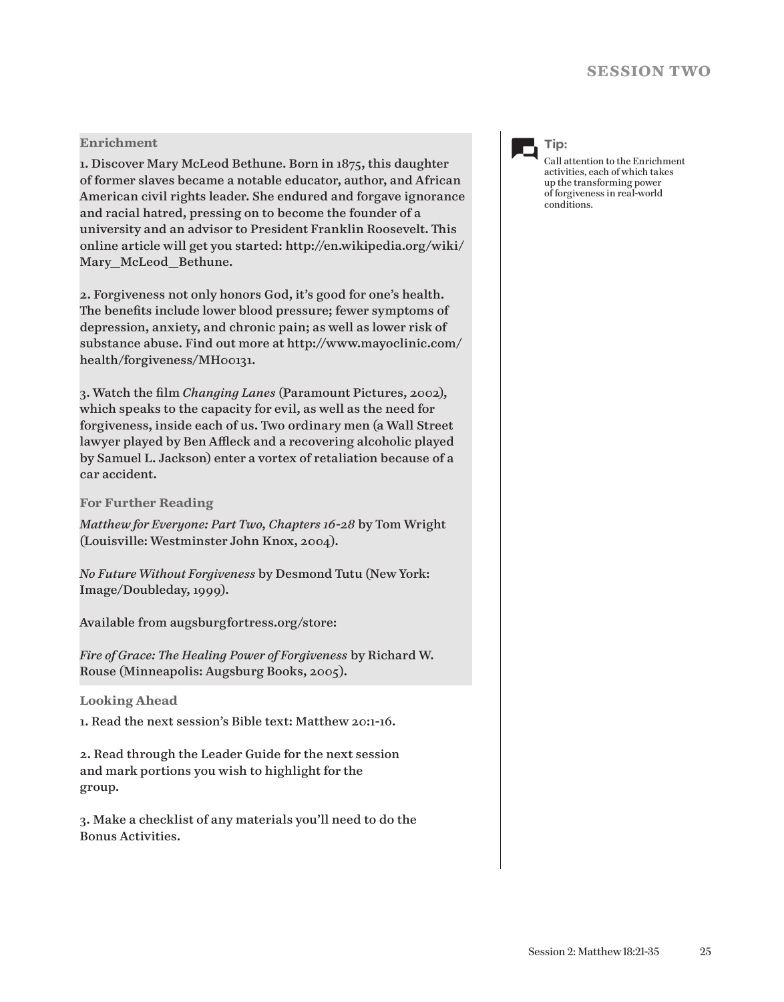# **session Two**

#### **Enrichment**

1. Discover Mary McLeod Bethune. Born in 1875, this daughter of former slaves became a notable educator, author, and African American civil rights leader. She endured and forgave ignorance and racial hatred, pressing on to become the founder of a university and an advisor to President Franklin Roosevelt. This online article will get you started: http://en.wikipedia.org/wiki/ Mary\_McLeod\_Bethune.

2. Forgiveness not only honors God, it's good for one's health. The benefits include lower blood pressure; fewer symptoms of depression, anxiety, and chronic pain; as well as lower risk of substance abuse. Find out more at http://www.mayoclinic.com/ health/forgiveness/MH00131.

3. Watch the film *Changing Lanes* (Paramount Pictures, 2002), which speaks to the capacity for evil, as well as the need for forgiveness, inside each of us. Two ordinary men (a Wall Street lawyer played by Ben Affleck and a recovering alcoholic played by Samuel L. Jackson) enter a vortex of retaliation because of a car accident.

**For Further Reading**

*Matthew for Everyone: Part Two, Chapters 16-28* by Tom Wright (Louisville: Westminster John Knox, 2004).

*No Future Without Forgiveness* by Desmond Tutu (New York: Image/Doubleday, 1999).

Available from augsburgfortress.org/store:

*Fire of Grace: The Healing Power of Forgiveness* by Richard W. Rouse (Minneapolis: Augsburg Books, 2005).

**Looking Ahead**

1. Read the next session's Bible text: Matthew 20:1-16.

2. Read through the Leader Guide for the next session and mark portions you wish to highlight for the group.

3. Make a checklist of any materials you'll need to do the Bonus Activities.

**Tip:**

Call attention to the Enrichment activities, each of which takes up the transforming power of forgiveness in real-world conditions.